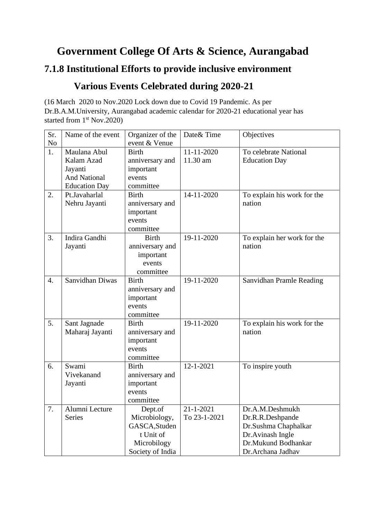## **Government College Of Arts & Science, Aurangabad**

## **7.1.8 Institutional Efforts to provide inclusive environment**

## **Various Events Celebrated during 2020-21**

(16 March 2020 to Nov.2020 Lock down due to Covid 19 Pandemic. As per Dr.B.A.M.University, Aurangabad academic calendar for 2020-21 educational year has started from 1<sup>st</sup> Nov.2020)

| Sr.              | Name of the event    | Organizer of the | Date & Time     | Objectives                  |
|------------------|----------------------|------------------|-----------------|-----------------------------|
| No               |                      | event & Venue    |                 |                             |
| 1.               | Maulana Abul         | <b>Birth</b>     | 11-11-2020      | To celebrate National       |
|                  | Kalam Azad           | anniversary and  | 11.30 am        | <b>Education Day</b>        |
|                  | Jayanti              | important        |                 |                             |
|                  | <b>And National</b>  | events           |                 |                             |
|                  | <b>Education Day</b> | committee        |                 |                             |
| 2.               | Pt.Javaharlal        | <b>Birth</b>     | 14-11-2020      | To explain his work for the |
|                  | Nehru Jayanti        | anniversary and  |                 | nation                      |
|                  |                      | important        |                 |                             |
|                  |                      | events           |                 |                             |
|                  |                      | committee        |                 |                             |
| 3.               | Indira Gandhi        | <b>Birth</b>     | 19-11-2020      | To explain her work for the |
|                  | Jayanti              | anniversary and  |                 | nation                      |
|                  |                      | important        |                 |                             |
|                  |                      | events           |                 |                             |
|                  |                      | committee        |                 |                             |
| $\overline{4}$ . | Sanvidhan Diwas      | <b>Birth</b>     | 19-11-2020      | Sanvidhan Pramle Reading    |
|                  |                      | anniversary and  |                 |                             |
|                  |                      | important        |                 |                             |
|                  |                      | events           |                 |                             |
|                  |                      | committee        |                 |                             |
| 5.               | Sant Jagnade         | <b>Birth</b>     | 19-11-2020      | To explain his work for the |
|                  | Maharaj Jayanti      | anniversary and  |                 | nation                      |
|                  |                      | important        |                 |                             |
|                  |                      | events           |                 |                             |
|                  |                      | committee        |                 |                             |
| 6.               | Swami                | <b>Birth</b>     | $12 - 1 - 2021$ | To inspire youth            |
|                  | Vivekanand           | anniversary and  |                 |                             |
|                  | Jayanti              | important        |                 |                             |
|                  |                      | events           |                 |                             |
|                  |                      | committee        |                 |                             |
| 7.               | Alumni Lecture       | Dept.of          | $21 - 1 - 2021$ | Dr.A.M.Deshmukh             |
|                  | <b>Series</b>        | Microbiology,    | To 23-1-2021    | Dr.R.R.Deshpande            |
|                  |                      | GASCA, Studen    |                 | Dr.Sushma Chaphalkar        |
|                  |                      | t Unit of        |                 | Dr.Avinash Ingle            |
|                  |                      | Microbilogy      |                 | Dr.Mukund Bodhankar         |
|                  |                      | Society of India |                 | Dr.Archana Jadhav           |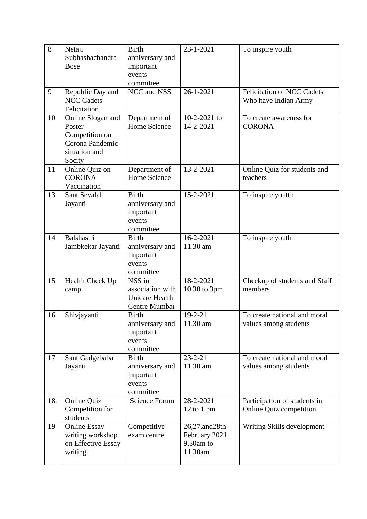| 8   | Netaji<br>Subhashachandra<br><b>Bose</b>                                                    | <b>Birth</b><br>anniversary and<br>important<br>events<br>committee  | 23-1-2021                                                | To inspire youth                                          |
|-----|---------------------------------------------------------------------------------------------|----------------------------------------------------------------------|----------------------------------------------------------|-----------------------------------------------------------|
| 9   | Republic Day and<br><b>NCC Cadets</b><br>Felicitation                                       | NCC and NSS                                                          | $26 - 1 - 2021$                                          | <b>Felicitation of NCC Cadets</b><br>Who have Indian Army |
| 10  | Online Slogan and<br>Poster<br>Competition on<br>Corona Pandemic<br>situation and<br>Socity | Department of<br>Home Science                                        | 10-2-2021 to<br>14-2-2021                                | To create awarenrss for<br><b>CORONA</b>                  |
| 11  | Online Quiz on<br><b>CORONA</b><br>Vaccination                                              | Department of<br>Home Science                                        | 13-2-2021                                                | Online Quiz for students and<br>teachers                  |
| 13  | <b>Sant Sevalal</b><br>Jayanti                                                              | <b>Birth</b><br>anniversary and<br>important<br>events<br>committee  | 15-2-2021                                                | To inspire youtth                                         |
| 14  | Balshastri<br>Jambkekar Jayanti                                                             | <b>Birth</b><br>anniversary and<br>important<br>events<br>committee  | 16-2-2021<br>11.30 am                                    | To inspire youth                                          |
| 15  | Health Check Up<br>camp                                                                     | NSS in<br>association with<br><b>Unicare Health</b><br>Centre Mumbai | 18-2-2021<br>10.30 to 3pm                                | Checkup of students and Staff<br>members                  |
| 16  | Shivjayanti                                                                                 | <b>Birth</b><br>anniversary and<br>important<br>events<br>committee  | $19 - 2 - 21$<br>11.30 am                                | To create national and moral<br>values among students     |
| 17  | Sant Gadgebaba<br>Jayanti                                                                   | <b>Birth</b><br>anniversary and<br>important<br>events<br>committee  | $23 - 2 - 21$<br>11.30 am                                | To create national and moral<br>values among students     |
| 18. | <b>Online Quiz</b><br>Competition for<br>students                                           | <b>Science Forum</b>                                                 | 28-2-2021<br>$12$ to 1 pm                                | Participation of students in<br>Online Quiz competition   |
| 19  | <b>Online Essay</b><br>writing workshop<br>on Effective Essay<br>writing                    | Competitive<br>exam centre                                           | 26,27, and 28th<br>February 2021<br>9.30am to<br>11.30am | Writing Skills development                                |